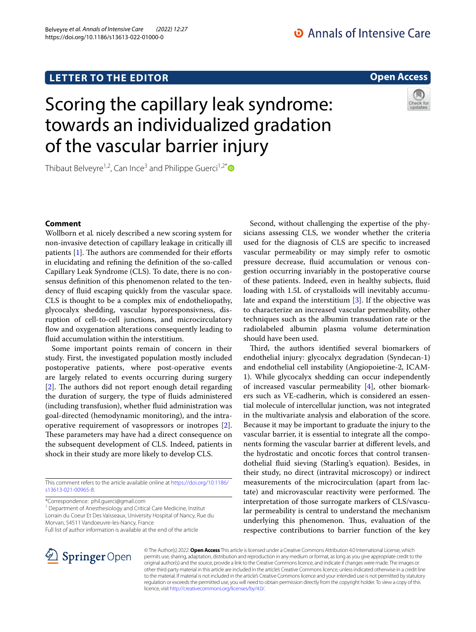Belveyre *et al. Annals of Intensive Care (2022) 12:27*  https://doi.org/10.1186/s13613-022-01000-0

**Open Access**

# Scoring the capillary leak syndrome: towards an individualized gradation of the vascular barrier injury

Thibaut Belveyre<sup>1,2</sup>, Can Ince<sup>3</sup> and Philippe Guerci<sup>1,2[\\*](http://orcid.org/0000-0002-4664-1861)</sup>

# **Comment**

Wollborn et al*.* nicely described a new scoring system for non-invasive detection of capillary leakage in critically ill patients  $[1]$  $[1]$ . The authors are commended for their efforts in elucidating and refning the defnition of the so-called Capillary Leak Syndrome (CLS). To date, there is no consensus defnition of this phenomenon related to the tendency of fuid escaping quickly from the vascular space. CLS is thought to be a complex mix of endotheliopathy, glycocalyx shedding, vascular hyporesponsivness, disruption of cell-to-cell junctions, and microcirculatory flow and oxygenation alterations consequently leading to fuid accumulation within the interstitium.

Some important points remain of concern in their study. First, the investigated population mostly included postoperative patients, where post-operative events are largely related to events occurring during surgery  $[2]$  $[2]$ . The authors did not report enough detail regarding the duration of surgery, the type of fuids administered (including transfusion), whether fuid administration was goal-directed (hemodynamic monitoring), and the intraoperative requirement of vasopressors or inotropes [\[2](#page-1-1)]. These parameters may have had a direct consequence on the subsequent development of CLS. Indeed, patients in shock in their study are more likely to develop CLS.

This comment refers to the article available online at [https://doi.org/10.1186/](https://doi.org/10.1186/s13613-021-00965-8) [s13613-021-00965-8](https://doi.org/10.1186/s13613-021-00965-8).

\*Correspondence: phil.guerci@gmail.com

<sup>1</sup> Department of Anesthesiology and Critical Care Medicine, Institut Lorrain du Coeur Et Des Vaisseaux, University Hospital of Nancy, Rue du Morvan, 54511 Vandoeuvre-les-Nancy, France

Full list of author information is available at the end of the article

Second, without challenging the expertise of the physicians assessing CLS, we wonder whether the criteria used for the diagnosis of CLS are specifc to increased vascular permeability or may simply refer to osmotic pressure decrease, fuid accumulation or venous congestion occurring invariably in the postoperative course of these patients. Indeed, even in healthy subjects, fuid loading with 1.5L of crystalloids will inevitably accumulate and expand the interstitium [\[3](#page-1-2)]. If the objective was to characterize an increased vascular permeability, other techniques such as the albumin transudation rate or the radiolabeled albumin plasma volume determination should have been used.

Third, the authors identified several biomarkers of endothelial injury: glycocalyx degradation (Syndecan-1) and endothelial cell instability (Angiopoietine-2, ICAM-1). While glycocalyx shedding can occur independently of increased vascular permeability [\[4](#page-1-3)], other biomarkers such as VE-cadherin, which is considered an essential molecule of intercellular junction, was not integrated in the multivariate analysis and elaboration of the score. Because it may be important to graduate the injury to the vascular barrier, it is essential to integrate all the components forming the vascular barrier at diferent levels, and the hydrostatic and oncotic forces that control transendothelial fuid sieving (Starling's equation). Besides, in their study, no direct (intravital microscopy) or indirect measurements of the microcirculation (apart from lactate) and microvascular reactivity were performed. The interpretation of those surrogate markers of CLS/vascular permeability is central to understand the mechanism underlying this phenomenon. Thus, evaluation of the respective contributions to barrier function of the key



© The Author(s) 2022. **Open Access** This article is licensed under a Creative Commons Attribution 4.0 International License, which permits use, sharing, adaptation, distribution and reproduction in any medium or format, as long as you give appropriate credit to the original author(s) and the source, provide a link to the Creative Commons licence, and indicate if changes were made. The images or other third party material in this article are included in the article's Creative Commons licence, unless indicated otherwise in a credit line to the material. If material is not included in the article's Creative Commons licence and your intended use is not permitted by statutory regulation or exceeds the permitted use, you will need to obtain permission directly from the copyright holder. To view a copy of this licence, visit [http://creativecommons.org/licenses/by/4.0/.](http://creativecommons.org/licenses/by/4.0/)